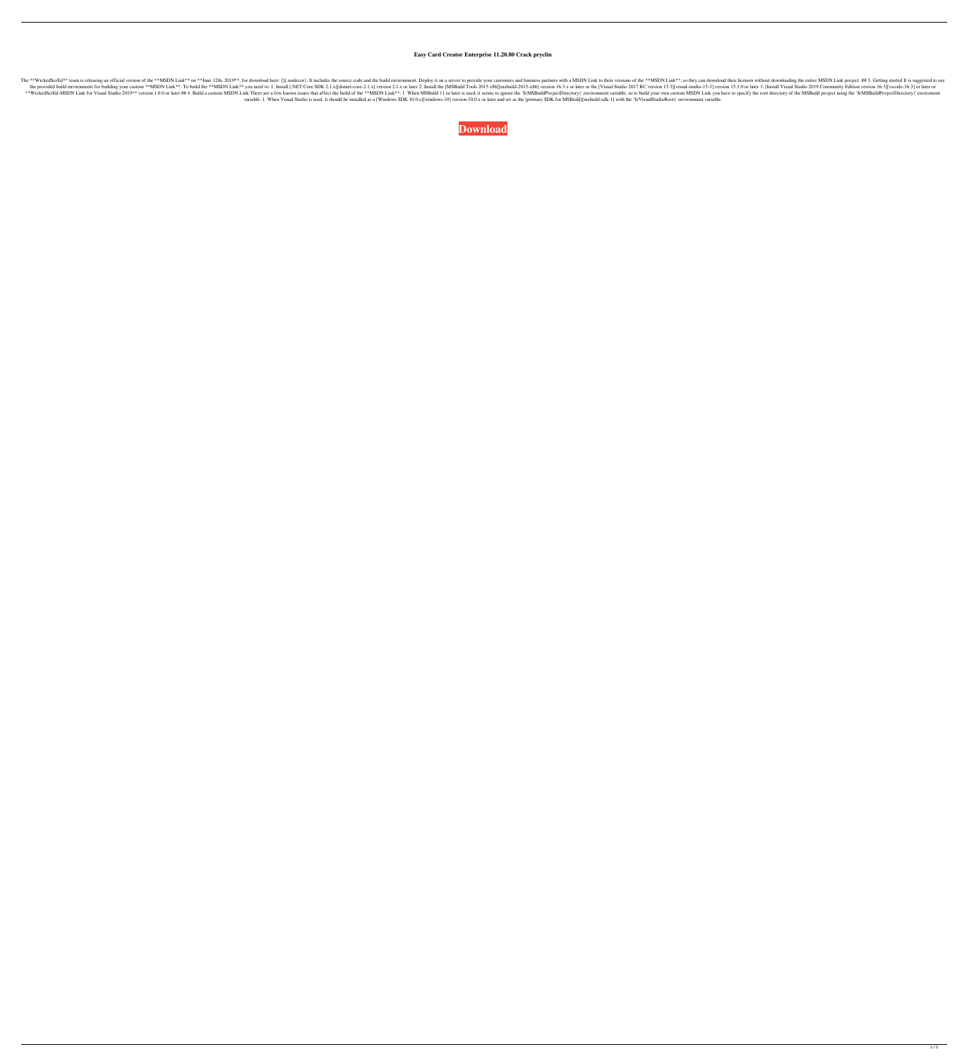## **Easy Card Creator Enterprise 11.20.80 Crack pryclin**

The \*\*WickedScrEd\*\* team is releasing an official version of the \*\*MSDN Link\*\* on \*\*June 12th, 2019\*\*, for download here: []{.nodecor}. It includes the source code and the build environment. Deploy it on a server to provid the provided build environment for building your custom \*\*MSDN Link\*\*. To build the \*\*MSDN Link\*\*. To build the \*\*MSDN Link\*\* you need to: 1. Install [.NET Core SDK 2.1.x] [dotnet-core-2.1.x] version 15.3.1 or later or the \*\*WickedScrEd-MSDN Link for Visual Studio 2019\*\* version 1.0.0 or later ## 4. Build a custom MSDN Link There are a few known issues that affect the build of the \*\*MSDN Link\*\*: 1. When MSBuildProjectDirectory)` environment variable. 1. When Visual Studio is used, it should be installed as a [Windows SDK 10.0.x][windows-10] version 10.0.x or later and set as the [primary SDK for MSBuild][msbuild-sdk-1] with the `\$(VisualStudioRoot)` environme